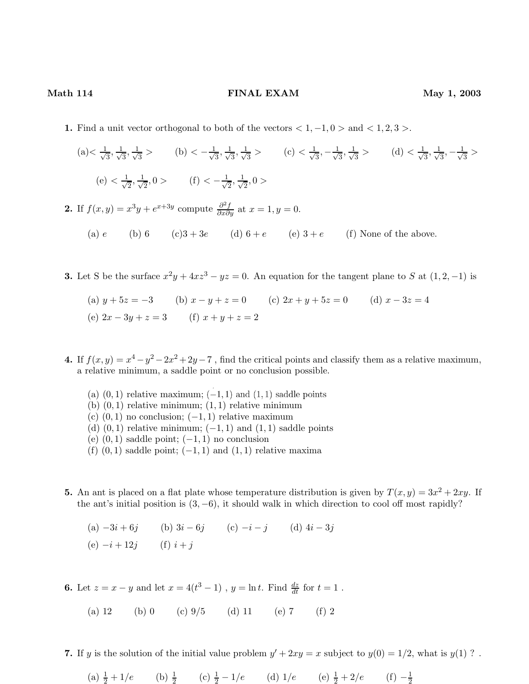## Math 114 **FINAL EXAM** May 1, 2003

- 1. Find a unit vector orthogonal to both of the vectors  $< 1, -1, 0 >$  and  $< 1, 2, 3 >$ .
	- $(a) < \frac{1}{\sqrt{2}}$  $\frac{1}{3}$ ,  $\frac{1}{\sqrt{2}}$  $\frac{1}{3}$ ,  $\frac{1}{\sqrt{2}}$  $\frac{1}{3}$  > (b) <  $-\frac{1}{\sqrt{3}}$  $\frac{1}{3}, \frac{1}{\sqrt{3}}$  $\frac{1}{3}$ ,  $\frac{1}{\sqrt{2}}$  $\frac{1}{3}$  > (c) <  $\frac{1}{\sqrt{3}}$  $\frac{1}{3}, -\frac{1}{\sqrt{2}}$  $\frac{1}{3}$ ,  $\frac{1}{\sqrt{3}}$  $\frac{1}{3}$  > (d) <  $\frac{1}{\sqrt{3}}$  $\frac{1}{3}$ ,  $\frac{1}{\sqrt{2}}$  $\frac{1}{3}, -\frac{1}{\sqrt{2}}$  $\frac{1}{3}$  $(e) < \frac{1}{\sqrt{2}}$  $\frac{1}{2}, \frac{1}{\sqrt{2}}$  $\frac{1}{2}$ , 0 > (f) <  $-\frac{1}{\sqrt{2}}$  $\frac{1}{2}, \frac{1}{\sqrt{2}}$  $\frac{1}{2}$ , 0 >

2. If  $f(x,y) = x^3y + e^{x+3y}$  compute  $\frac{\partial^2 f}{\partial x \partial y}$  at  $x = 1, y = 0$ .

- (a) e (b) 6 (c) $3+3e$  (d)  $6+e$  (e)  $3+e$  (f) None of the above.
- **3.** Let S be the surface  $x^2y + 4xz^3 yz = 0$ . An equation for the tangent plane to S at  $(1, 2, -1)$  is
	- (a)  $y + 5z = -3$  (b)  $x y + z = 0$  (c)  $2x + y + 5z = 0$  (d)  $x 3z = 4$ (e)  $2x - 3y + z = 3$  (f)  $x + y + z = 2$
- 4. If  $f(x, y) = x^4 y^2 2x^2 + 2y 7$ , find the critical points and classify them as a relative maximum, a relative minimum, a saddle point or no conclusion possible.
	- (a)  $(0, 1)$  relative maximum;  $(-1, 1)$  and  $(1, 1)$  saddle points
	- (b)  $(0, 1)$  relative minimum;  $(1, 1)$  relative minimum
	- (c)  $(0, 1)$  no conclusion;  $(-1, 1)$  relative maximum
	- (d)  $(0, 1)$  relative minimum;  $(-1, 1)$  and  $(1, 1)$  saddle points
	- (e)  $(0, 1)$  saddle point;  $(-1, 1)$  no conclusion
	- (f)  $(0, 1)$  saddle point;  $(-1, 1)$  and  $(1, 1)$  relative maxima
- **5.** An ant is placed on a flat plate whose temperature distribution is given by  $T(x, y) = 3x^2 + 2xy$ . If the ant's initial position is  $(3, -6)$ , it should walk in which direction to cool off most rapidly?
	- (a)  $-3i + 6j$  (b)  $3i 6j$  (c)  $-i j$  (d)  $4i 3j$
	- (e)  $-i + 12i$  (f)  $i + i$

**6.** Let  $z = x - y$  and let  $x = 4(t^3 - 1)$ ,  $y = \ln t$ . Find  $\frac{dz}{dt}$  for  $t = 1$ .

- (a) 12 (b) 0 (c)  $9/5$  (d) 11 (e) 7 (f) 2
- 7. If y is the solution of the initial value problem  $y' + 2xy = x$  subject to  $y(0) = 1/2$ , what is  $y(1)$  ?.
	- (a)  $\frac{1}{2} + 1/e$  (b)  $\frac{1}{2}$  (c)  $\frac{1}{2} 1/e$  (d)  $1/e$  (e)  $\frac{1}{2} + 2/e$  (f)  $-\frac{1}{2}$ 2